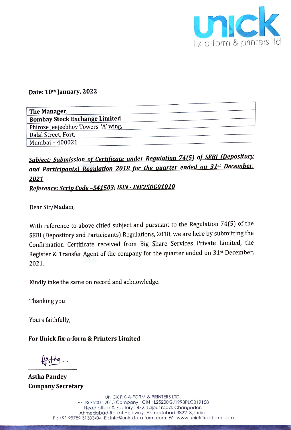

## Date:  $10<sup>th</sup>$  January, 2 Date: 10th January, 2022

|                                      | UNC                |
|--------------------------------------|--------------------|
|                                      | fix-a-form & print |
|                                      |                    |
|                                      |                    |
|                                      |                    |
| Date: 10th January, 2022             |                    |
| The Manager,                         |                    |
| <b>Bombay Stock Exchange Limited</b> |                    |
| Phiroze Jeejeebhoy Towers 'A' wing,  |                    |
| Dalal Street, Fort,                  |                    |
| Mumbai - 400021                      |                    |

## Subject: Submission of Certificate under Regulation 74(5) of SEBI (Depository and Participants) Regulation 2018 for the quarter ended on 31st December, 2021

Reference: Scrip Code -541503; ISIN - INE250G01010

Dear Sir/Madam,

With reference to above citied subject and pursuant to the Regulation 74(5) of the SEBI (Depository and Participants) Regulations, 2018, we are here by submitting the Confirmation Certificate received from Big Share Services Private Limited, the Register & Transfer Agent of the company for the quarter ended on 31<sup>st</sup> December, 2021.

Kindly take the same on record and acknowledge.

Thanking you

Yours faithfully,

For Unick fix-a-form & Printers Limited

 $H\rightarrow H$ 

Astha Pandey Company Secretary

> UNICK FIX-A-FORM & PRINTERS LTD. An ISO 9001:2015 Company CIN : L25200GJ1993PLC019158 Head office & Factory : 472, Tajpur road, Changodar, Ahmedabad-Rajkot Highway, Anmedabad 382213, India. P: +91 99789 31303/04 E: info@unickfix-a-form.com W: www.unickfix-a-form.com